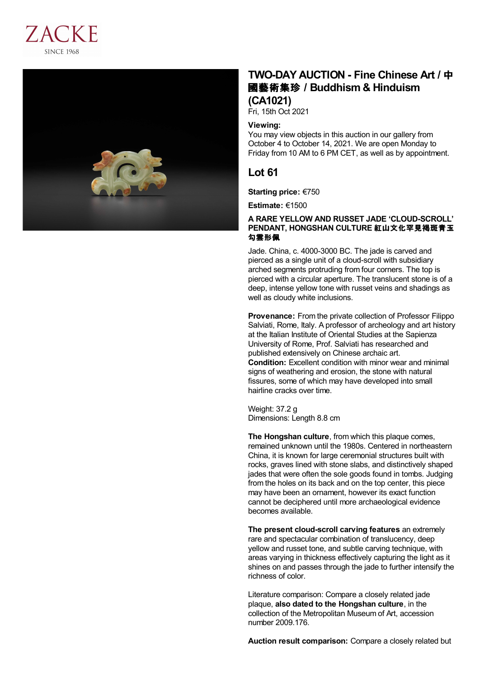



# **TWO-DAY AUCTION - Fine Chinese Art /** 中 國藝術集珍 **/Buddhism & Hinduism (CA1021)**

Fri, 15th Oct 2021

### **Viewing:**

You may view objects in this auction in our gallery from October 4 to October 14, 2021. We are open Monday to Friday from 10 AM to 6 PM CET, as well as by appointment.

## **Lot 61**

**Starting price:** €750

**Estimate:** €1500

### **A RARE YELLOW AND RUSSET JADE 'CLOUD-SCROLL' PENDANT, HONGSHAN CULTURE** 紅山文化罕見褐斑青玉 勾雲形佩

Jade. China, c. 4000-3000 BC. The jade is carved and pierced as a single unit of a cloud-scroll with subsidiary arched segments protruding from four corners. The top is pierced with a circular aperture. The translucent stone is of a deep, intense yellow tone with russet veins and shadings as well as cloudy white inclusions.

**Provenance:** From the private collection of Professor Filippo Salviati, Rome, Italy. A professor of archeology and art history at the Italian Institute of Oriental Studies at the Sapienza University of Rome, Prof. Salviati has researched and published extensively on Chinese archaic art. **Condition:** Excellent condition with minor wear and minimal signs of weathering and erosion, the stone with natural fissures, some of which may have developed into small hairline cracks over time.

Weight: 37.2 g Dimensions: Length 8.8 cm

**The Hongshan culture**, from which this plaque comes, remained unknown until the 1980s. Centered in northeastern China, it is known for large ceremonial structures built with rocks, graves lined with stone slabs, and distinctively shaped jades that were often the sole goods found in tombs. Judging from the holes on its back and on the top center, this piece may have been an ornament, however its exact function cannot be deciphered until more archaeological evidence becomes available.

**The present cloud-scroll carving features** an extremely rare and spectacular combination of translucency, deep yellow and russet tone, and subtle carving technique, with areas varying in thickness effectively capturing the light as it shines on and passes through the jade to further intensify the richness of color.

Literature comparison: Compare a closely related jade plaque, **also dated to the Hongshan culture**, in the collection of the Metropolitan Museum of Art, accession number 2009.176.

**Auction result comparison:** Compare a closely related but